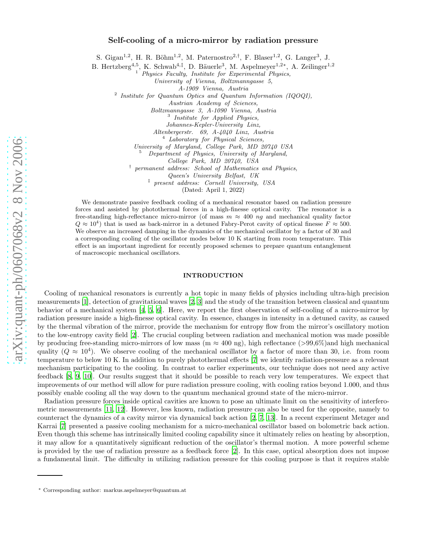# Self-cooling of a micro-mirror by radiation pressure

S. Gigan<sup>1,2</sup>, H. R. Böhm<sup>1,2</sup>, M. Paternostro<sup>2,†</sup>, F. Blaser<sup>1,2</sup>, G. Langer<sup>3</sup>, J.

B. Hertzberg<sup>4,5</sup>, K. Schwab<sup>4,‡</sup>, D. Bäuerle<sup>3</sup>, M. Aspelmeyer<sup>1,2\*</sup>, A. Zeilinger<sup>1,2</sup>

<sup>1</sup> Physics Faculty, Institute for Experimental Physics,

University of Vienna, Boltzmanngasse 5,

A-1909 Vienna, Austria

<sup>2</sup> Institute for Quantum Optics and Quantum Information (IQOQI),

Austrian Academy of Sciences,

Boltzmanngasse 3, A-1090 Vienna, Austria <sup>3</sup>

 $3$  Institute for Applied Physics,

Johannes-Kepler-University Linz,

 $4$  Laboratory for Physical Sciences,

University of Maryland, College Park, MD 20740 USA<br><sup>5</sup> Department of Physics, University of Maryland,

College Park, MD 20740, USA

<sup>†</sup> permanent address: School of Mathematics and Physics,

Queen's University Belfast, UK

‡ present address: Cornell University, USA

(Dated: April 1, 2022)

We demonstrate passive feedback cooling of a mechanical resonator based on radiation pressure forces and assisted by photothermal forces in a high-finesse optical cavity. The resonator is a free-standing high-reflectance micro-mirror (of mass  $m \approx 400$  ng and mechanical quality factor  $Q \approx 10^4$ ) that is used as back-mirror in a detuned Fabry-Perot cavity of optical finesse  $\ddot{F} \approx 500$ . We observe an increased damping in the dynamics of the mechanical oscillator by a factor of 30 and a corresponding cooling of the oscillator modes below 10 K starting from room temperature. This effect is an important ingredient for recently proposed schemes to prepare quantum entanglement of macroscopic mechanical oscillators.

## INTRODUCTION

Cooling of mechanical resonators is currently a hot topic in many fields of physics including ultra-high precision measurements [\[1\]](#page-10-0), detection of gravitational waves [\[2](#page-10-1), [3\]](#page-10-2) and the study of the transition between classical and quantum behavior of a mechanical system [\[4,](#page-10-3) [5](#page-10-4), [6\]](#page-10-5). Here, we report the first observation of self-cooling of a micro-mirror by radiation pressure inside a high-finesse optical cavity. In essence, changes in intensity in a detuned cavity, as caused by the thermal vibration of the mirror, provide the mechanism for entropy flow from the mirror's oscillatory motion to the low-entropy cavity field [\[2\]](#page-10-1). The crucial coupling between radiation and mechanical motion was made possible by producing free-standing micro-mirrors of low mass (m  $\approx 400$  ng), high reflectance (>99,6%)and high mechanical quality  $(Q \approx 10^4)$ . We observe cooling of the mechanical oscillator by a factor of more than 30, i.e. from room temperature to below 10 K. In addition to purely photothermal effects [\[7](#page-10-6)] we identify radiation-pressure as a relevant mechanism participating to the cooling. In contrast to earlier experiments, our technique does not need any active feedback [\[8,](#page-10-7) [9,](#page-10-8) [10](#page-10-9)]. Our results suggest that it should be possible to reach very low temperatures. We expect that improvements of our method will allow for pure radiation pressure cooling, with cooling ratios beyond 1.000, and thus possibly enable cooling all the way down to the quantum mechanical ground state of the micro-mirror.

Radiation pressure forces inside optical cavities are known to pose an ultimate limit on the sensitivity of interferometric measurements [\[11,](#page-10-10) [12](#page-10-11)]. However, less known, radiation pressure can also be used for the opposite, namely to counteract the dynamics of a cavity mirror via dynamical back action [\[2,](#page-10-1) [7,](#page-10-6) [13\]](#page-10-12). In a recent experiment Metzger and Karrai [\[7](#page-10-6)] presented a passive cooling mechanism for a micro-mechanical oscillator based on bolometric back action. Even though this scheme has intrinsically limited cooling capability since it ultimately relies on heating by absorption, it may allow for a quantitatively significant reduction of the oscillator's thermal motion. A more powerful scheme is provided by the use of radiation pressure as a feedback force [\[2\]](#page-10-1). In this case, optical absorption does not impose a fundamental limit. The difficulty in utilizing radiation pressure for this cooling purpose is that it requires stable

<sup>∗</sup> Corresponding author: markus.aspelmeyer@quantum.at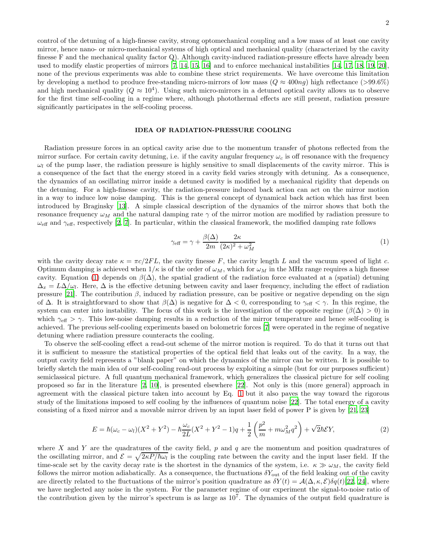control of the detuning of a high-finesse cavity, strong optomechanical coupling and a low mass of at least one cavity mirror, hence nano- or micro-mechanical systems of high optical and mechanical quality (characterized by the cavity finesse F and the mechanical quality factor Q). Although cavity-induced radiation-pressure effects have already been used to modify elastic properties of mirrors [\[7](#page-10-6), [14,](#page-10-13) [15,](#page-10-14) [16\]](#page-10-15) and to enforce mechanical instabilities [\[14,](#page-10-13) [17](#page-10-16), [18](#page-10-17), [19,](#page-10-18) [20\]](#page-10-19), none of the previous experiments was able to combine these strict requirements. We have overcome this limitation by developing a method to produce free-standing micro-mirrors of low mass  $(Q \approx 400nq)$  high reflectance (>99.6%) and high mechanical quality  $(Q \approx 10^4)$ . Using such micro-mirrors in a detuned optical cavity allows us to observe for the first time self-cooling in a regime where, although photothermal effects are still present, radiation pressure significantly participates in the self-cooling process.

## IDEA OF RADIATION-PRESSURE COOLING

Radiation pressure forces in an optical cavity arise due to the momentum transfer of photons reflected from the mirror surface. For certain cavity detuning, i.e. if the cavity angular frequency  $\omega_c$  is off resonance with the frequency  $\omega_l$  of the pump laser, the radiation pressure is highly sensitive to small displacements of the cavity mirror. This is a consequence of the fact that the energy stored in a cavity field varies strongly with detuning. As a consequence, the dynamics of an oscillating mirror inside a detuned cavity is modified by a mechanical rigidity that depends on the detuning. For a high-finesse cavity, the radiation-pressure induced back action can act on the mirror motion in a way to induce low noise damping. This is the general concept of dynamical back action which has first been introduced by Braginsky [\[13](#page-10-12)]. A simple classical description of the dynamics of the mirror shows that both the resonance frequency  $\omega_M$  and the natural damping rate  $\gamma$  of the mirror motion are modified by radiation pressure to  $\omega_{\text{eff}}$  and  $\gamma_{\text{eff}}$ , respectively [\[2,](#page-10-1) [7\]](#page-10-6). In particular, within the classical framework, the modified damping rate follows

<span id="page-1-0"></span>
$$
\gamma_{\text{eff}} = \gamma + \frac{\beta(\Delta)}{2m} \frac{2\kappa}{(2\kappa)^2 + \omega_M^2} \tag{1}
$$

with the cavity decay rate  $\kappa = \pi c/2FL$ , the cavity finesse F, the cavity length L and the vacuum speed of light c. Optimum damping is achieved when  $1/\kappa$  is of the order of  $\omega_M$ , which for  $\omega_M$  in the MHz range requires a high finesse cavity. Equation [\(1\)](#page-1-0) depends on  $\beta(\Delta)$ , the spatial gradient of the radiation force evaluated at a (spatial) detuning  $\Delta_x = L\Delta/\omega_l$ . Here,  $\Delta$  is the effective detuning between cavity and laser frequency, including the effect of radiation pressure [\[21\]](#page-10-20). The contribution  $\beta$ , induced by radiation pressure, can be positive or negative depending on the sign of  $\Delta$ . It is straightforward to show that  $\beta(\Delta)$  is negative for  $\Delta < 0$ , corresponding to  $\gamma_{\text{eff}} < \gamma$ . In this regime, the system can enter into instability. The focus of this work is the investigation of the opposite regime ( $\beta(\Delta) > 0$ ) in which  $\gamma_{\text{eff}} > \gamma$ . This low-noise damping results in a reduction of the mirror temperature and hence self-cooling is achieved. The previous self-cooling experiments based on bolometric forces [\[7\]](#page-10-6) were operated in the regime of negative detuning where radiation pressure counteracts the cooling.

To observe the self-cooling effect a read-out scheme of the mirror motion is required. To do that it turns out that it is sufficient to measure the statistical properties of the optical field that leaks out of the cavity. In a way, the output cavity field represents a "blank paper" on which the dynamics of the mirror can be written. It is possible to briefly sketch the main idea of our self-cooling read-out process by exploiting a simple (but for our purposes sufficient) semiclassical picture. A full quantum mechanical framework, which generalizes the classical picture for self cooling proposed so far in the literature [\[2](#page-10-1), [10\]](#page-10-9), is presented elsewhere [\[22\]](#page-10-21). Not only is this (more general) approach in agreement with the classical picture taken into account by Eq. [1](#page-1-0) but it also paves the way toward the rigorous study of the limitations imposed to self cooling by the influences of quantum noise [\[22](#page-10-21)]. The total energy of a cavity consisting of a fixed mirror and a movable mirror driven by an input laser field of power P is given by [\[21](#page-10-20), [23](#page-10-22)]

$$
E = \hbar(\omega_c - \omega_l)(X^2 + Y^2) - \hbar \frac{\omega_c}{2L}(X^2 + Y^2 - 1)q + \frac{1}{2} \left(\frac{p^2}{m} + m\omega_M^2 q^2\right) + \sqrt{2}\hbar \mathcal{E}Y,\tag{2}
$$

where X and Y are the quadratures of the cavity field, p and q are the momentum and position quadratures of the oscillating mirror, and  $\mathcal{E} = \sqrt{2\kappa P/\hbar\omega_l}$  is the coupling rate between the cavity and the input laser field. If the time-scale set by the cavity decay rate is the shortest in the dynamics of the system, i.e.  $\kappa \gg \omega_M$ , the cavity field follows the mirror motion adiabatically. As a consequence, the fluctuations  $\delta Y_{\text{out}}$  of the field leaking out of the cavity are directly related to the fluctuations of the mirror's position quadrature as  $\delta Y(t) = A(\Delta, \kappa, \mathcal{E}) \delta q(t) [22, 24]$  $\delta Y(t) = A(\Delta, \kappa, \mathcal{E}) \delta q(t) [22, 24]$  $\delta Y(t) = A(\Delta, \kappa, \mathcal{E}) \delta q(t) [22, 24]$  $\delta Y(t) = A(\Delta, \kappa, \mathcal{E}) \delta q(t) [22, 24]$ , where we have neglected any noise in the system. For the parameter regime of our experiment the signal-to-noise ratio of the contribution given by the mirror's spectrum is as large as  $10<sup>7</sup>$ . The dynamics of the output field quadrature is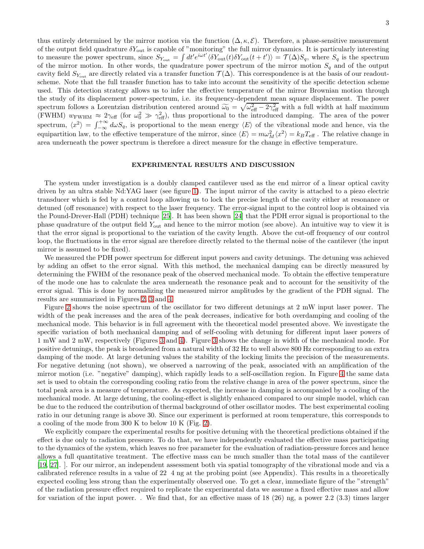thus entirely determined by the mirror motion via the function  $(\Delta, \kappa, \mathcal{E})$ . Therefore, a phase-sensitive measurement of the output field quadrature  $\delta Y_{\text{out}}$  is capable of "monitoring" the full mirror dynamics. It is particularly interesting to measure the power spectrum, since  $S_{Y_{\text{out}}} = \int dt' e^{i\omega t'} \langle \delta Y_{\text{out}}(t) \delta Y_{\text{out}}(t + t') \rangle = \mathcal{T}(\Delta) S_q$ , where  $S_q$  is the spectrum of the mirror motion. In other words, the quadrature power spectrum of the mirror motion  $S_q$  and of the output cavity field  $S_{Y_{\text{out}}}$  are directly related via a transfer function  $\mathcal{T}(\Delta)$ . This correspondence is at the basis of our readoutscheme. Note that the full transfer function has to take into account the sensitivity of the specific detection scheme used. This detection strategy allows us to infer the effective temperature of the mirror Brownian motion through the study of its displacement power-spectrum, i.e. its frequency-dependent mean square displacement. The power spectrum follows a Lorentzian distribution centered around  $\widetilde{\omega_0} = \sqrt{\omega_{\text{eff}}^2 - 2\gamma_{\text{eff}}^2}$  with a full width at half maximum<br>(EWILM) we are also become the set of the second to the interval distribution. The second (FWHM)  $w_{\text{FWHM}} \approx 2\gamma_{\text{eff}}$  (for  $\omega_0^2 \gg \gamma_{\text{eff}}^2$ ), thus proportional to the introduced damping. The area of the power spectrum,  $\langle x^2 \rangle = \int_{-\infty}^{+\infty} d\omega S_q$ , is proportional to the mean energy  $\langle E \rangle$  of the vibrational mode and hence, via the equipartition law, to the effective temperature of the mirror, since  $\langle E \rangle = m\omega_M^2 \langle x^2 \rangle = k_B T_{\text{eff}}$ . The relative change in area underneath the power spectrum is therefore a direct measure for the change in effective temperature.

## EXPERIMENTAL RESULTS AND DISCUSSION

The system under investigation is a doubly clamped cantilever used as the end mirror of a linear optical cavity driven by an ultra stable Nd:YAG laser (see figure [1\)](#page-3-0). The input mirror of the cavity is attached to a piezo electric transducer which is fed by a control loop allowing us to lock the precise length of the cavity either at resonance or detuned (off resonance) with respect to the laser frequency. The error-signal input to the control loop is obtained via the Pound-Drever-Hall (PDH) technique [\[25\]](#page-10-24). It has been shown [\[24](#page-10-23)] that the PDH error signal is proportional to the phase quadrature of the output field Yout and hence to the mirror motion (see above). An intuitive way to view it is that the error signal is proportional to the variation of the cavity length. Above the cut-off frequency of our control loop, the fluctuations in the error signal are therefore directly related to the thermal noise of the cantilever (the input mirror is assumed to be fixed).

We measured the PDH power spectrum for different input powers and cavity detunings. The detuning was achieved by adding an offset to the error signal. With this method, the mechanical damping can be directly measured by determining the FWHM of the resonance peak of the observed mechanical mode. To obtain the effective temperature of the mode one has to calculate the area underneath the resonance peak and to account for the sensitivity of the error signal. This is done by normalizing the measured mirror amplitudes by the gradient of the PDH signal. The results are summarized in Figures [2,](#page-3-1) [3](#page-4-0) and [4.](#page-4-1)

Figure [2](#page-3-1) shows the noise spectrum of the oscillator for two different detunings at 2 mW input laser power. The width of the peak increases and the area of the peak decreases, indicative for both overdamping and cooling of the mechanical mode. This behavior is in full agreement with the theoretical model presented above. We investigate the specific variation of both mechanical damping and of self-cooling with detuning for different input laser powers of 1 mW and 2 mW, respectively (Figures [3](#page-4-0) and [4\)](#page-4-1). Figure [3](#page-4-0) shows the change in width of the mechanical mode. For positive detunings, the peak is broadened from a natural width of 32 Hz to well above 800 Hz corresponding to an extra damping of the mode. At large detuning values the stability of the locking limits the precision of the measurements. For negative detuning (not shown), we observed a narrowing of the peak, associated with an amplification of the mirror motion (i.e. "negative" damping), which rapidly leads to a self-oscillation region. In Figure [4](#page-4-1) the same data set is used to obtain the corresponding cooling ratio from the relative change in area of the power spectrum, since the total peak area is a measure of temperature. As expected, the increase in damping is accompanied by a cooling of the mechanical mode. At large detuning, the cooling-effect is slightly enhanced compared to our simple model, which can be due to the reduced the contribution of thermal background of other oscillator modes. The best experimental cooling ratio in our detuning range is above 30. Since our experiment is performed at room temperature, this corresponds to a cooling of the mode from 300 K to below 10 K (Fig. [2\)](#page-3-1).

We explicitly compare the experimental results for positive detuning with the theoretical predictions obtained if the effect is due only to radiation pressure. To do that, we have independently evaluated the effective mass participating to the dynamics of the system, which leaves no free parameter for the evaluation of radiation-pressure forces and hence allows a full quantitative treatment. The effective mass can be much smaller than the total mass of the cantilever [\[19,](#page-10-18) [27\]](#page-10-25). ]. For our mirror, an independent assessment both via spatial tomography of the vibrational mode and via a calibrated reference results in a value of 22 4 ng at the probing point (see Appendix). This results in a theoretically expected cooling less strong than the experimentally observed one. To get a clear, immediate figure of the "strength" of the radiation pressure effect required to replicate the experimental data we assume a fixed effective mass and allow for variation of the input power. . We find that, for an effective mass of 18 (26) ng, a power 2.2 (3.3) times larger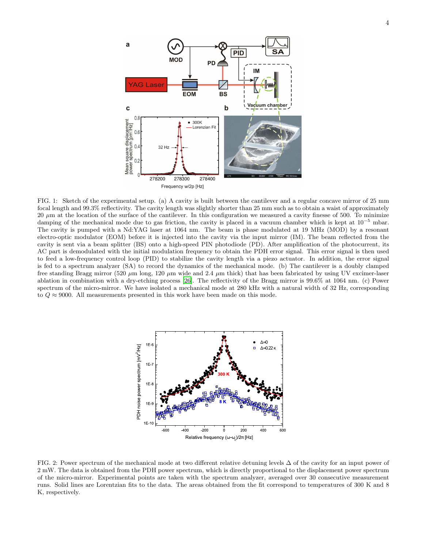

<span id="page-3-0"></span>FIG. 1: Sketch of the experimental setup. (a) A cavity is built between the cantilever and a regular concave mirror of 25 mm focal length and 99.3% reflectivity. The cavity length was slightly shorter than 25 mm such as to obtain a waist of approximately  $20 \mu m$  at the location of the surface of the cantilever. In this configuration we measured a cavity finesse of 500. To minimize damping of the mechanical mode due to gas friction, the cavity is placed in a vacuum chamber which is kept at  $10^{-5}$  mbar. The cavity is pumped with a Nd:YAG laser at 1064 nm. The beam is phase modulated at 19 MHz (MOD) by a resonant electro-optic modulator (EOM) before it is injected into the cavity via the input mirror (IM). The beam reflected from the cavity is sent via a beam splitter (BS) onto a high-speed PIN photodiode (PD). After amplification of the photocurrent, its AC part is demodulated with the initial modulation frequency to obtain the PDH error signal. This error signal is then used to feed a low-frequency control loop (PID) to stabilize the cavity length via a piezo actuator. In addition, the error signal is fed to a spectrum analyzer (SA) to record the dynamics of the mechanical mode. (b) The cantilever is a doubly clamped free standing Bragg mirror (520  $\mu$ m long, 120  $\mu$ m wide and 2.4  $\mu$ m thick) that has been fabricated by using UV excimer-laser ablation in combination with a dry-etching process [\[26](#page-10-26)]. The reflectivity of the Bragg mirror is 99.6% at 1064 nm. (c) Power spectrum of the micro-mirror. We have isolated a mechanical mode at 280 kHz with a natural width of 32 Hz, corresponding to  $Q \approx 9000$ . All measurements presented in this work have been made on this mode.



<span id="page-3-1"></span>FIG. 2: Power spectrum of the mechanical mode at two different relative detuning levels ∆ of the cavity for an input power of 2 mW. The data is obtained from the PDH power spectrum, which is directly proportional to the displacement power spectrum of the micro-mirror. Experimental points are taken with the spectrum analyzer, averaged over 30 consecutive measurement runs. Solid lines are Lorentzian fits to the data. The areas obtained from the fit correspond to temperatures of 300 K and 8 K, respectively.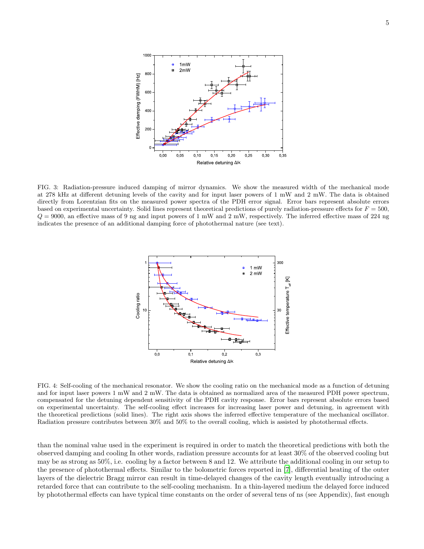

<span id="page-4-0"></span>FIG. 3: Radiation-pressure induced damping of mirror dynamics. We show the measured width of the mechanical mode at 278 kHz at different detuning levels of the cavity and for input laser powers of 1 mW and 2 mW. The data is obtained directly from Lorentzian fits on the measured power spectra of the PDH error signal. Error bars represent absolute errors based on experimental uncertainty. Solid lines represent theoretical predictions of purely radiation-pressure effects for  $F = 500$ ,  $Q = 9000$ , an effective mass of 9 ng and input powers of 1 mW and 2 mW, respectively. The inferred effective mass of 224 ng indicates the presence of an additional damping force of photothermal nature (see text).



<span id="page-4-1"></span>FIG. 4: Self-cooling of the mechanical resonator. We show the cooling ratio on the mechanical mode as a function of detuning and for input laser powers 1 mW and 2 mW. The data is obtained as normalized area of the measured PDH power spectrum, compensated for the detuning dependent sensitivity of the PDH cavity response. Error bars represent absolute errors based on experimental uncertainty. The self-cooling effect increases for increasing laser power and detuning, in agreement with the theoretical predictions (solid lines). The right axis shows the inferred effective temperature of the mechanical oscillator. Radiation pressure contributes between 30% and 50% to the overall cooling, which is assisted by photothermal effects.

than the nominal value used in the experiment is required in order to match the theoretical predictions with both the observed damping and cooling In other words, radiation pressure accounts for at least 30% of the observed cooling but may be as strong as 50%, i.e. cooling by a factor between 8 and 12. We attribute the additional cooling in our setup to the presence of photothermal effects. Similar to the bolometric forces reported in [\[7\]](#page-10-6), differential heating of the outer layers of the dielectric Bragg mirror can result in time-delayed changes of the cavity length eventually introducing a retarded force that can contribute to the self-cooling mechanism. In a thin-layered medium the delayed force induced by photothermal effects can have typical time constants on the order of several tens of ns (see Appendix), fast enough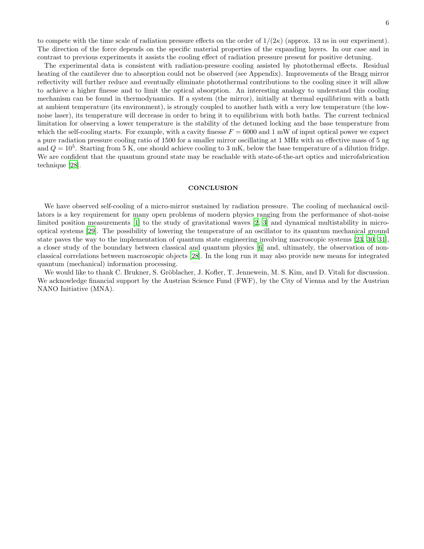to compete with the time scale of radiation pressure effects on the order of  $1/(2\kappa)$  (approx. 13 ns in our experiment). The direction of the force depends on the specific material properties of the expanding layers. In our case and in contrast to previous experiments it assists the cooling effect of radiation pressure present for positive detuning.

The experimental data is consistent with radiation-pressure cooling assisted by photothermal effects. Residual heating of the cantilever due to absorption could not be observed (see Appendix). Improvements of the Bragg mirror reflectivity will further reduce and eventually eliminate photothermal contributions to the cooling since it will allow to achieve a higher finesse and to limit the optical absorption. An interesting analogy to understand this cooling mechanism can be found in thermodynamics. If a system (the mirror), initially at thermal equilibrium with a bath at ambient temperature (its environment), is strongly coupled to another bath with a very low temperature (the lownoise laser), its temperature will decrease in order to bring it to equilibrium with both baths. The current technical limitation for observing a lower temperature is the stability of the detuned locking and the base temperature from which the self-cooling starts. For example, with a cavity finesse  $F = 6000$  and 1 mW of input optical power we expect a pure radiation pressure cooling ratio of 1500 for a smaller mirror oscillating at 1 MHz with an effective mass of 5 ng and  $Q = 10^5$ . Starting from 5 K, one should achieve cooling to 3 mK, below the base temperature of a dilution fridge. We are confident that the quantum ground state may be reachable with state-of-the-art optics and microfabrication technique [\[28\]](#page-10-27).

#### **CONCLUSION**

We have observed self-cooling of a micro-mirror sustained by radiation pressure. The cooling of mechanical oscillators is a key requirement for many open problems of modern physics ranging from the performance of shot-noise limited position measurements [\[1\]](#page-10-0) to the study of gravitational waves [\[2,](#page-10-1) [3\]](#page-10-2) and dynamical multistability in microoptical systems [\[29\]](#page-10-28). The possibility of lowering the temperature of an oscillator to its quantum mechanical ground state paves the way to the implementation of quantum state engineering involving macroscopic systems [\[23](#page-10-22), [30](#page-10-29), [31\]](#page-10-30), a closer study of the boundary between classical and quantum physics [\[6\]](#page-10-5) and, ultimately, the observation of nonclassical correlations between macroscopic objects [\[28\]](#page-10-27). In the long run it may also provide new means for integrated quantum (mechanical) information processing.

We would like to thank C. Brukner, S. Gröblacher, J. Kofler, T. Jennewein, M. S. Kim, and D. Vitali for discussion. We acknowledge financial support by the Austrian Science Fund (FWF), by the City of Vienna and by the Austrian NANO Initiative (MNA).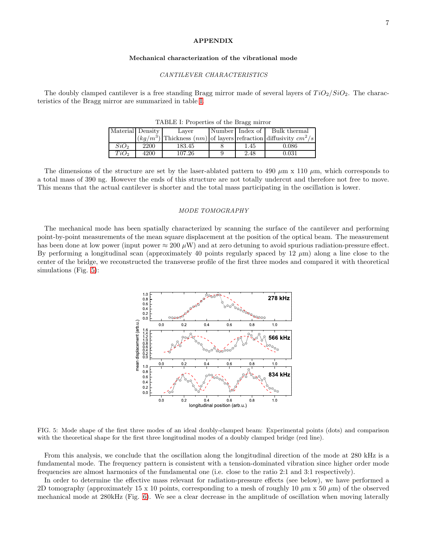### APPENDIX

### Mechanical characterization of the vibrational mode

### CANTILEVER CHARACTERISTICS

The doubly clamped cantilever is a free standing Bragg mirror made of several layers of  $TiO<sub>2</sub>/SiO<sub>2</sub>$ . The characteristics of the Bragg mirror are summarized in table [I.](#page-6-0)

| 111DHI I. I TODUTUUS OI THU DIAGG IIIIITOI |      |        |  |      |                                                                        |
|--------------------------------------------|------|--------|--|------|------------------------------------------------------------------------|
| Material Density                           |      | Laver  |  |      | Number Index of Bulk thermal                                           |
|                                            |      |        |  |      | $ (kg/m^3)$ Thickness $(nm)$ of layers refraction diffusivity $cm^2/s$ |
| $SiO_2$                                    | 2200 | 183.45 |  | 1.45 | 0.086                                                                  |
| TiO <sub>2</sub>                           | 4200 | 107.26 |  | 2.48 | 0.031                                                                  |

<span id="page-6-0"></span>TABLE I: Properties of the Bragg mirror

The dimensions of the structure are set by the laser-ablated pattern to 490  $\mu$ m x 110  $\mu$ m, which corresponds to a total mass of 390 ng. However the ends of this structure are not totally undercut and therefore not free to move. This means that the actual cantilever is shorter and the total mass participating in the oscillation is lower.

## MODE TOMOGRAPHY

The mechanical mode has been spatially characterized by scanning the surface of the cantilever and performing point-by-point measurements of the mean square displacement at the position of the optical beam. The measurement has been done at low power (input power  $\approx 200 \mu$ W) and at zero detuning to avoid spurious radiation-pressure effect. By performing a longitudinal scan (approximately 40 points regularly spaced by  $12 \mu m$ ) along a line close to the center of the bridge, we reconstructed the transverse profile of the first three modes and compared it with theoretical simulations (Fig. [5\)](#page-6-1):



<span id="page-6-1"></span>FIG. 5: Mode shape of the first three modes of an ideal doubly-clamped beam: Experimental points (dots) and comparison with the theoretical shape for the first three longitudinal modes of a doubly clamped bridge (red line).

From this analysis, we conclude that the oscillation along the longitudinal direction of the mode at 280 kHz is a fundamental mode. The frequency pattern is consistent with a tension-dominated vibration since higher order mode frequencies are almost harmonics of the fundamental one (i.e. close to the ratio 2:1 and 3:1 respectively).

In order to determine the effective mass relevant for radiation-pressure effects (see below), we have performed a 2D tomography (approximately 15 x 10 points, corresponding to a mesh of roughly 10  $\mu$ m x 50  $\mu$ m) of the observed mechanical mode at 280kHz (Fig. [6\)](#page-7-0). We see a clear decrease in the amplitude of oscillation when moving laterally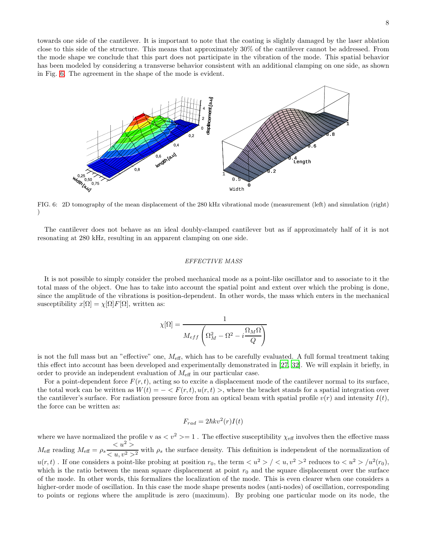towards one side of the cantilever. It is important to note that the coating is slightly damaged by the laser ablation close to this side of the structure. This means that approximately 30% of the cantilever cannot be addressed. From the mode shape we conclude that this part does not participate in the vibration of the mode. This spatial behavior has been modeled by considering a transverse behavior consistent with an additional clamping on one side, as shown in Fig. [6.](#page-7-0) The agreement in the shape of the mode is evident.



<span id="page-7-0"></span>FIG. 6: 2D tomography of the mean displacement of the 280 kHz vibrational mode (measurement (left) and simulation (right)  $\lambda$ 

The cantilever does not behave as an ideal doubly-clamped cantilever but as if approximately half of it is not resonating at 280 kHz, resulting in an apparent clamping on one side.

#### EFFECTIVE MASS

It is not possible to simply consider the probed mechanical mode as a point-like oscillator and to associate to it the total mass of the object. One has to take into account the spatial point and extent over which the probing is done, since the amplitude of the vibrations is position-dependent. In other words, the mass which enters in the mechanical susceptibility  $x[\Omega] = \chi[\Omega] F[\Omega]$ , written as:

$$
\chi[\Omega]=\frac{1}{M_{eff}\left(\Omega_{M}^{2}-\Omega^{2}-i\frac{\Omega_{M}\Omega}{Q}\right)}
$$

is not the full mass but an "effective" one,  $M_{\text{eff}}$ , which has to be carefully evaluated. A full formal treatment taking this effect into account has been developed and experimentally demonstrated in [\[27,](#page-10-25) [32\]](#page-10-31). We will explain it briefly, in order to provide an independent evaluation of  $M_{\text{eff}}$  in our particular case.

For a point-dependent force  $F(r, t)$ , acting so to excite a displacement mode of the cantilever normal to its surface, the total work can be written as  $W(t) = -\langle F(r,t), u(r,t) \rangle$ , where the bracket stands for a spatial integration over the cantilever's surface. For radiation pressure force from an optical beam with spatial profile  $v(r)$  and intensity  $I(t)$ , the force can be written as:

$$
F_{rad} = 2\hbar k v^2(r)I(t)
$$

where we have normalized the profile v as  $\langle v^2 \rangle = 1$ . The effective susceptibility  $\chi_{\text{eff}}$  involves then the effective mass  $M_{\text{eff}}$  reading  $M_{\text{eff}} = \rho_s \frac{u^2}{\sqrt{2\pi}}$  $\frac{1}{(u-x_0)^2}$  with  $\rho_s$  the surface density. This definition is independent of the normalization of  $u(r,t)$ . If one considers a point-like probing at position  $r_0$ , the term  $\langle u^2 \rangle / \langle u, v^2 \rangle^2$  reduces to  $\langle u^2 \rangle / u^2(r_0)$ , which is the ratio between the mean square displacement at point  $r_0$  and the square displacement over the surface of the mode. In other words, this formalizes the localization of the mode. This is even clearer when one considers a higher-order mode of oscillation. In this case the mode shape presents nodes (anti-nodes) of oscillation, corresponding to points or regions where the amplitude is zero (maximum). By probing one particular mode on its node, the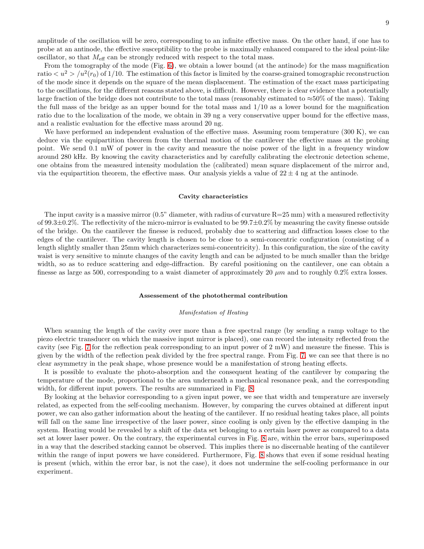amplitude of the oscillation will be zero, corresponding to an infinite effective mass. On the other hand, if one has to probe at an antinode, the effective susceptibility to the probe is maximally enhanced compared to the ideal point-like oscillator, so that  $M_{\text{eff}}$  can be strongly reduced with respect to the total mass.

From the tomography of the mode (Fig. [6\)](#page-7-0), we obtain a lower bound (at the antinode) for the mass magnification ratio  $\langle u^2 \rangle / u^2(r_0)$  of 1/10. The estimation of this factor is limited by the coarse-grained tomographic reconstruction of the mode since it depends on the square of the mean displacement. The estimation of the exact mass participating to the oscillations, for the different reasons stated above, is difficult. However, there is clear evidence that a potentially large fraction of the bridge does not contribute to the total mass (reasonably estimated to  $\approx 50\%$  of the mass). Taking the full mass of the bridge as an upper bound for the total mass and  $1/10$  as a lower bound for the magnification ratio due to the localization of the mode, we obtain in 39 ng a very conservative upper bound for the effective mass, and a realistic evaluation for the effective mass around 20 ng.

We have performed an independent evaluation of the effective mass. Assuming room temperature (300 K), we can deduce via the equipartition theorem from the thermal motion of the cantilever the effective mass at the probing point. We send 0.1 mW of power in the cavity and measure the noise power of the light in a frequency window around 280 kHz. By knowing the cavity characteristics and by carefully calibrating the electronic detection scheme, one obtains from the measured intensity modulation the (calibrated) mean square displacement of the mirror and, via the equipartition theorem, the effective mass. Our analysis yields a value of  $22 \pm 4$  ng at the antinode.

#### Cavity characteristics

The input cavity is a massive mirror  $(0.5)$ " diameter, with radius of curvature  $R=25$  mm) with a measured reflectivity of 99.3 $\pm$ 0.2%. The reflectivity of the micro-mirror is evaluated to be 99.7 $\pm$ 0.2% by measuring the cavity finesse outside of the bridge. On the cantilever the finesse is reduced, probably due to scattering and diffraction losses close to the edges of the cantilever. The cavity length is chosen to be close to a semi-concentric configuration (consisting of a length slightly smaller than 25mm which characterizes semi-concentricity). In this configuration, the size of the cavity waist is very sensitive to minute changes of the cavity length and can be adjusted to be much smaller than the bridge width, so as to reduce scattering and edge-diffraction. By careful positioning on the cantilever, one can obtain a finesse as large as 500, corresponding to a waist diameter of approximately 20  $\mu$ m and to roughly 0.2% extra losses.

#### Assessement of the photothermal contribution

#### Manifestation of Heating

When scanning the length of the cavity over more than a free spectral range (by sending a ramp voltage to the piezo electric transducer on which the massive input mirror is placed), one can record the intensity reflected from the cavity (see Fig. [7](#page-9-0) for the reflection peak corresponding to an input power of 2 mW) and measure the finesse. This is given by the width of the reflection peak divided by the free spectral range. From Fig. [7,](#page-9-0) we can see that there is no clear asymmetry in the peak shape, whose presence would be a manifestation of strong heating effects.

It is possible to evaluate the photo-absorption and the consequent heating of the cantilever by comparing the temperature of the mode, proportional to the area underneath a mechanical resonance peak, and the corresponding width, for different input powers. The results are summarized in Fig. [8.](#page-9-1)

By looking at the behavior corresponding to a given input power, we see that width and temperature are inversely related, as expected from the self-cooling mechanism. However, by comparing the curves obtained at different input power, we can also gather information about the heating of the cantilever. If no residual heating takes place, all points will fall on the same line irrespective of the laser power, since cooling is only given by the effective damping in the system. Heating would be revealed by a shift of the data set belonging to a certain laser power as compared to a data set at lower laser power. On the contrary, the experimental curves in Fig. [8](#page-9-1) are, within the error bars, superimposed in a way that the described stacking cannot be observed. This implies there is no discernable heating of the cantilever within the range of input powers we have considered. Furthermore, Fig. [8](#page-9-1) shows that even if some residual heating is present (which, within the error bar, is not the case), it does not undermine the self-cooling performance in our experiment.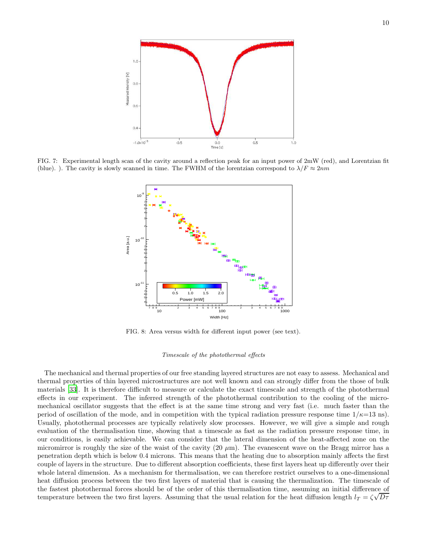

<span id="page-9-0"></span>FIG. 7: Experimental length scan of the cavity around a reflection peak for an input power of 2mW (red), and Lorentzian fit (blue). ). The cavity is slowly scanned in time. The FWHM of the lorentzian correspond to  $\lambda/F \approx 2nm$ 



FIG. 8: Area versus width for different input power (see text).

### <span id="page-9-1"></span>Timescale of the photothermal effects

The mechanical and thermal properties of our free standing layered structures are not easy to assess. Mechanical and thermal properties of thin layered microstructures are not well known and can strongly differ from the those of bulk materials [\[33](#page-10-32)]. It is therefore difficult to measure or calculate the exact timescale and strength of the photothermal effects in our experiment. The inferred strength of the photothermal contribution to the cooling of the micromechanical oscillator suggests that the effect is at the same time strong and very fast (i.e. much faster than the period of oscillation of the mode, and in competition with the typical radiation pressure response time  $1/\kappa=13$  ns). Usually, photothermal processes are typically relatively slow processes. However, we will give a simple and rough evaluation of the thermalisation time, showing that a timescale as fast as the radiation pressure response time, in our conditions, is easily achievable. We can consider that the lateral dimension of the heat-affected zone on the micromirror is roughly the size of the waist of the cavity  $(20 \mu m)$ . The evanescent wave on the Bragg mirror has a penetration depth which is below 0.4 microns. This means that the heating due to absorption mainly affects the first couple of layers in the structure. Due to different absorption coefficients, these first layers heat up differently over their whole lateral dimension. As a mechanism for thermalisation, we can therefore restrict ourselves to a one-dimensional heat diffusion process between the two first layers of material that is causing the thermalization. The timescale of the fastest photothermal forces should be of the order of this thermalisation time, assuming an initial difference of temperature between the two first layers. Assuming that the usual relation for the heat diffusion length  $l_T = \zeta \sqrt{D\tau}$